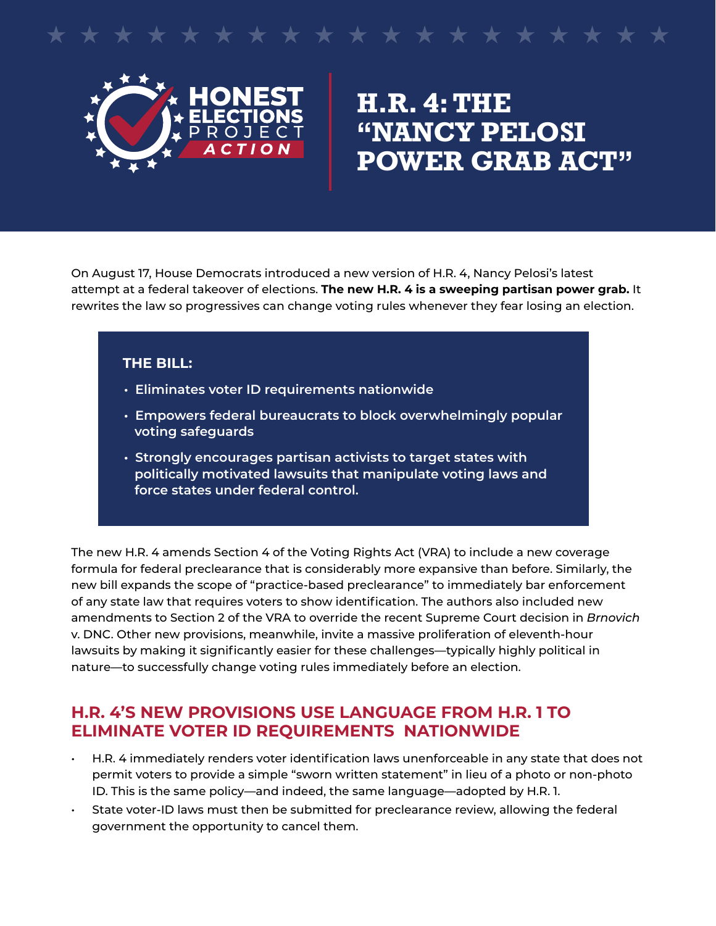# \* \* \* \* \* \* \* \*



# **H.R. 4: The "Nancy Pelosi Power Grab Act"**

On August 17, House Democrats introduced a new version of H.R. 4, Nancy Pelosi's latest attempt at a federal takeover of elections. **The new H.R. 4 is a sweeping partisan power grab.** It rewrites the law so progressives can change voting rules whenever they fear losing an election.

#### **THE BILL:**

- **Eliminates voter ID requirements nationwide**
- **Empowers federal bureaucrats to block overwhelmingly popular voting safeguards**
- **Strongly encourages partisan activists to target states with politically motivated lawsuits that manipulate voting laws and force states under federal control.**

The new H.R. 4 amends Section 4 of the Voting Rights Act (VRA) to include a new coverage formula for federal preclearance that is considerably more expansive than before. Similarly, the new bill expands the scope of "practice-based preclearance" to immediately bar enforcement of any state law that requires voters to show identification. The authors also included new amendments to Section 2 of the VRA to override the recent Supreme Court decision in *Brnovich* v. DNC. Other new provisions, meanwhile, invite a massive proliferation of eleventh-hour lawsuits by making it significantly easier for these challenges—typically highly political in nature—to successfully change voting rules immediately before an election.

#### **H.R. 4's new provisions use language from H.R. 1 to eliminate voter ID requirements nationwide**

- H.R. 4 immediately renders voter identification laws unenforceable in any state that does not permit voters to provide a simple "sworn written statement" in lieu of a photo or non-photo ID. This is the same policy—and indeed, the same language—adopted by H.R. 1.
- • State voter-ID laws must then be submitted for preclearance review, allowing the federal government the opportunity to cancel them.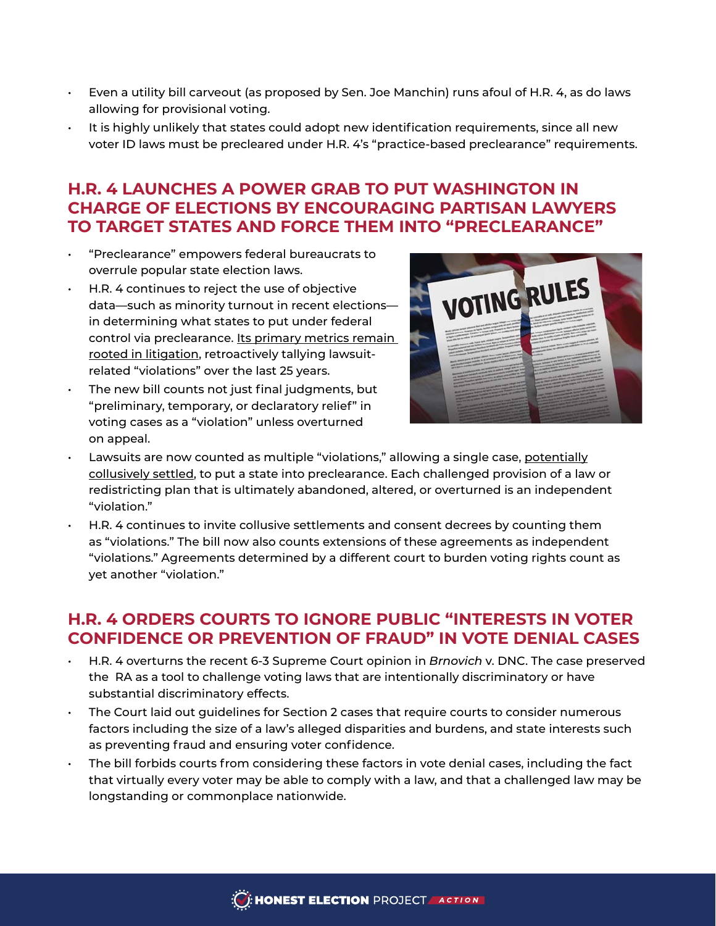- $\cdot$  Even a utility bill carveout (as proposed by Sen. Joe Manchin) runs afoul of H.R. 4, as do laws allowing for provisional voting.
- $\cdot$  It is highly unlikely that states could adopt new identification requirements, since all new voter ID laws must be precleared under H.R. 4's "practice-based preclearance" requirements.

# **H.R. 4 launches a power grab to put Washington in charge of elections by encouraging partisan lawyers to target states and force them into "preclearance"**

- • "Preclearance" empowers federal bureaucrats to overrule popular state election laws.
- $\cdot$  H.R. 4 continues to reject the use of objective data—such as minority turnout in recent elections in determining what states to put under federal control via preclearance. Its primary metrics remain rooted in litigation, retroactively tallying lawsuitrelated "violations" over the last 25 years.
- The new bill counts not just final judgments, but "preliminary, temporary, or declaratory relief" in voting cases as a "violation" unless overturned on appeal.



- Lawsuits are now counted as multiple "violations," allowing a single case, potentially collusively settled, to put a state into preclearance. Each challenged provision of a law or redistricting plan that is ultimately abandoned, altered, or overturned is an independent "violation."
- $\cdot$  H.R. 4 continues to invite collusive settlements and consent decrees by counting them as "violations." The bill now also counts extensions of these agreements as independent "violations." Agreements determined by a different court to burden voting rights count as yet another "violation."

## **H.R. 4 orders courts to ignore public "interests in voter confidence or prevention of fraud" in vote denial cases**

- • H.R. 4 overturns the recent 6-3 Supreme Court opinion in *Brnovich* v. DNC. The case preserved the RA as a tool to challenge voting laws that are intentionally discriminatory or have substantial discriminatory effects.
- $\cdot$  The Court laid out guidelines for Section 2 cases that require courts to consider numerous factors including the size of a law's alleged disparities and burdens, and state interests such as preventing fraud and ensuring voter confidence.
- The bill forbids courts from considering these factors in vote denial cases, including the fact that virtually every voter may be able to comply with a law, and that a challenged law may be longstanding or commonplace nationwide.